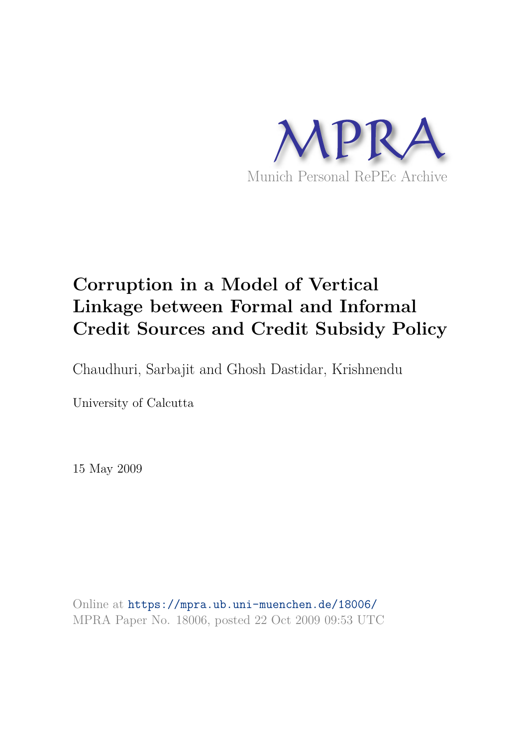

# **Corruption in a Model of Vertical Linkage between Formal and Informal Credit Sources and Credit Subsidy Policy**

Chaudhuri, Sarbajit and Ghosh Dastidar, Krishnendu

University of Calcutta

15 May 2009

Online at https://mpra.ub.uni-muenchen.de/18006/ MPRA Paper No. 18006, posted 22 Oct 2009 09:53 UTC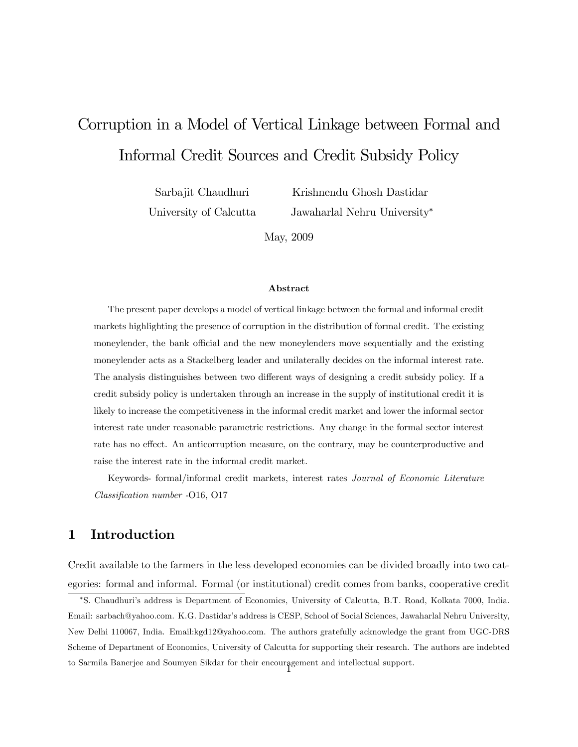# Corruption in a Model of Vertical Linkage between Formal and Informal Credit Sources and Credit Subsidy Policy

Sarbajit Chaudhuri University of Calcutta

Krishnendu Ghosh Dastidar Jawaharlal Nehru University<sup>∗</sup>

May, 2009

#### Abstract

The present paper develops a model of vertical linkage between the formal and informal credit markets highlighting the presence of corruption in the distribution of formal credit. The existing moneylender, the bank official and the new moneylenders move sequentially and the existing moneylender acts as a Stackelberg leader and unilaterally decides on the informal interest rate. The analysis distinguishes between two different ways of designing a credit subsidy policy. If a credit subsidy policy is undertaken through an increase in the supply of institutional credit it is likely to increase the competitiveness in the informal credit market and lower the informal sector interest rate under reasonable parametric restrictions. Any change in the formal sector interest rate has no effect. An anticorruption measure, on the contrary, may be counterproductive and raise the interest rate in the informal credit market.

Keywords- formal/informal credit markets, interest rates Journal of Economic Literature Classification number -O16, O17

## 1 Introduction

Credit available to the farmers in the less developed economies can be divided broadly into two categories: formal and informal. Formal (or institutional) credit comes from banks, cooperative credit

<sup>∗</sup> S. Chaudhuri's address is Department of Economics, University of Calcutta, B.T. Road, Kolkata 7000, India. Email: sarbach@yahoo.com. K.G. Dastidar's address is CESP, School of Social Sciences, Jawaharlal Nehru University, New Delhi 110067, India. Email:kgd12@yahoo.com. The authors gratefully acknowledge the grant from UGC-DRS Scheme of Department of Economics, University of Calcutta for supporting their research. The authors are indebted to Sarmila Banerjee and Soumyen Sikdar for their encouragement and intellectual support. <sup>1</sup>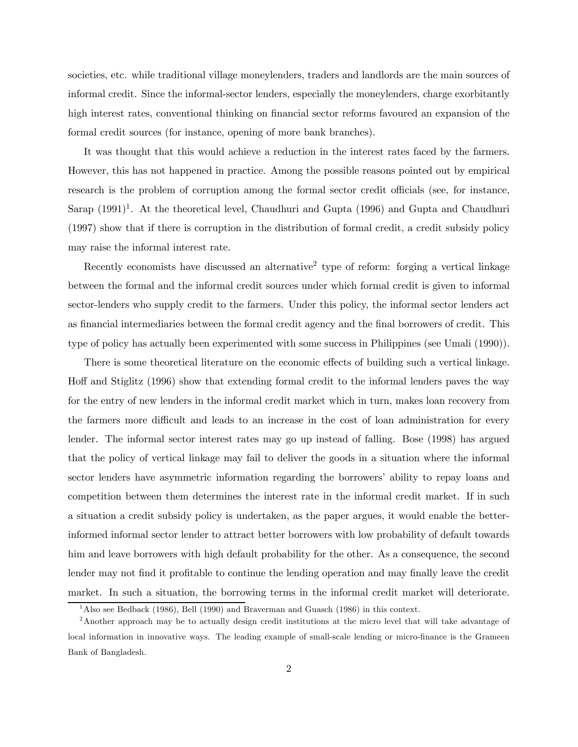societies, etc. while traditional village moneylenders, traders and landlords are the main sources of informal credit. Since the informal-sector lenders, especially the moneylenders, charge exorbitantly high interest rates, conventional thinking on financial sector reforms favoured an expansion of the formal credit sources (for instance, opening of more bank branches).

It was thought that this would achieve a reduction in the interest rates faced by the farmers. However, this has not happened in practice. Among the possible reasons pointed out by empirical research is the problem of corruption among the formal sector credit officials (see, for instance, Sarap  $(1991)^{1}$ . At the theoretical level, Chaudhuri and Gupta  $(1996)$  and Gupta and Chaudhuri (1997) show that if there is corruption in the distribution of formal credit, a credit subsidy policy may raise the informal interest rate.

Recently economists have discussed an alternative<sup>2</sup> type of reform: forging a vertical linkage between the formal and the informal credit sources under which formal credit is given to informal sector-lenders who supply credit to the farmers. Under this policy, the informal sector lenders act as financial intermediaries between the formal credit agency and the final borrowers of credit. This type of policy has actually been experimented with some success in Philippines (see Umali (1990)).

There is some theoretical literature on the economic effects of building such a vertical linkage. Hoff and Stiglitz (1996) show that extending formal credit to the informal lenders paves the way for the entry of new lenders in the informal credit market which in turn, makes loan recovery from the farmers more difficult and leads to an increase in the cost of loan administration for every lender. The informal sector interest rates may go up instead of falling. Bose (1998) has argued that the policy of vertical linkage may fail to deliver the goods in a situation where the informal sector lenders have asymmetric information regarding the borrowers' ability to repay loans and competition between them determines the interest rate in the informal credit market. If in such a situation a credit subsidy policy is undertaken, as the paper argues, it would enable the betterinformed informal sector lender to attract better borrowers with low probability of default towards him and leave borrowers with high default probability for the other. As a consequence, the second lender may not find it profitable to continue the lending operation and may finally leave the credit market. In such a situation, the borrowing terms in the informal credit market will deteriorate.

<sup>&</sup>lt;sup>1</sup>Also see Bedback (1986), Bell (1990) and Braverman and Guasch (1986) in this context.

<sup>&</sup>lt;sup>2</sup>Another approach may be to actually design credit institutions at the micro level that will take advantage of local information in innovative ways. The leading example of small-scale lending or micro-finance is the Grameen Bank of Bangladesh.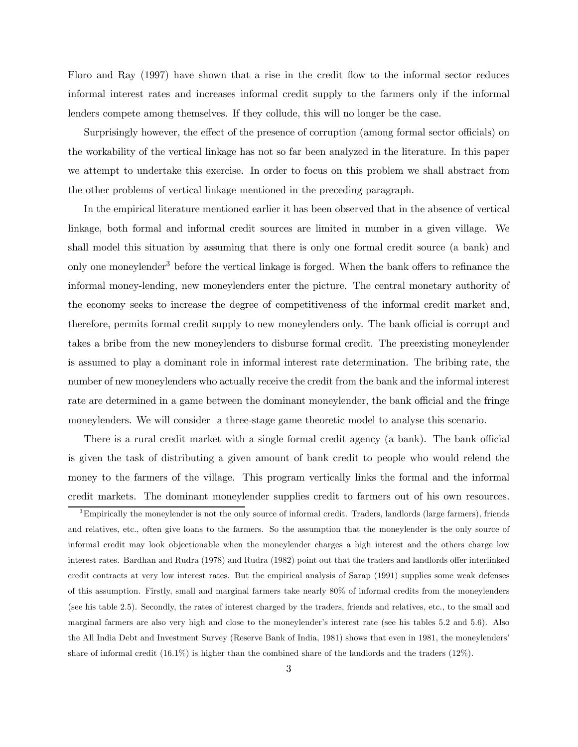Floro and Ray (1997) have shown that a rise in the credit flow to the informal sector reduces informal interest rates and increases informal credit supply to the farmers only if the informal lenders compete among themselves. If they collude, this will no longer be the case.

Surprisingly however, the effect of the presence of corruption (among formal sector officials) on the workability of the vertical linkage has not so far been analyzed in the literature. In this paper we attempt to undertake this exercise. In order to focus on this problem we shall abstract from the other problems of vertical linkage mentioned in the preceding paragraph.

In the empirical literature mentioned earlier it has been observed that in the absence of vertical linkage, both formal and informal credit sources are limited in number in a given village. We shall model this situation by assuming that there is only one formal credit source (a bank) and only one moneylender<sup>3</sup> before the vertical linkage is forged. When the bank offers to refinance the informal money-lending, new moneylenders enter the picture. The central monetary authority of the economy seeks to increase the degree of competitiveness of the informal credit market and, therefore, permits formal credit supply to new moneylenders only. The bank official is corrupt and takes a bribe from the new moneylenders to disburse formal credit. The preexisting moneylender is assumed to play a dominant role in informal interest rate determination. The bribing rate, the number of new moneylenders who actually receive the credit from the bank and the informal interest rate are determined in a game between the dominant moneylender, the bank official and the fringe moneylenders. We will consider a three-stage game theoretic model to analyse this scenario.

There is a rural credit market with a single formal credit agency (a bank). The bank official is given the task of distributing a given amount of bank credit to people who would relend the money to the farmers of the village. This program vertically links the formal and the informal credit markets. The dominant moneylender supplies credit to farmers out of his own resources.

 $3$ Empirically the moneylender is not the only source of informal credit. Traders, landlords (large farmers), friends and relatives, etc., often give loans to the farmers. So the assumption that the moneylender is the only source of informal credit may look objectionable when the moneylender charges a high interest and the others charge low interest rates. Bardhan and Rudra (1978) and Rudra (1982) point out that the traders and landlords offer interlinked credit contracts at very low interest rates. But the empirical analysis of Sarap (1991) supplies some weak defenses of this assumption. Firstly, small and marginal farmers take nearly 80% of informal credits from the moneylenders (see his table 2.5). Secondly, the rates of interest charged by the traders, friends and relatives, etc., to the small and marginal farmers are also very high and close to the moneylender's interest rate (see his tables 5.2 and 5.6). Also the All India Debt and Investment Survey (Reserve Bank of India, 1981) shows that even in 1981, the moneylenders' share of informal credit (16.1%) is higher than the combined share of the landlords and the traders (12%).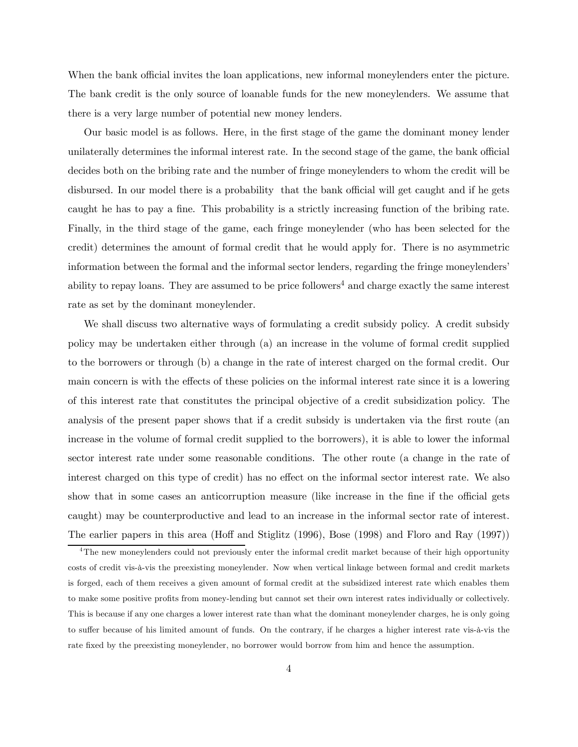When the bank official invites the loan applications, new informal moneylenders enter the picture. The bank credit is the only source of loanable funds for the new moneylenders. We assume that there is a very large number of potential new money lenders.

Our basic model is as follows. Here, in the first stage of the game the dominant money lender unilaterally determines the informal interest rate. In the second stage of the game, the bank official decides both on the bribing rate and the number of fringe moneylenders to whom the credit will be disbursed. In our model there is a probability that the bank official will get caught and if he gets caught he has to pay a fine. This probability is a strictly increasing function of the bribing rate. Finally, in the third stage of the game, each fringe moneylender (who has been selected for the credit) determines the amount of formal credit that he would apply for. There is no asymmetric information between the formal and the informal sector lenders, regarding the fringe moneylenders' ability to repay loans. They are assumed to be price followers<sup>4</sup> and charge exactly the same interest rate as set by the dominant moneylender.

We shall discuss two alternative ways of formulating a credit subsidy policy. A credit subsidy policy may be undertaken either through (a) an increase in the volume of formal credit supplied to the borrowers or through (b) a change in the rate of interest charged on the formal credit. Our main concern is with the effects of these policies on the informal interest rate since it is a lowering of this interest rate that constitutes the principal objective of a credit subsidization policy. The analysis of the present paper shows that if a credit subsidy is undertaken via the first route (an increase in the volume of formal credit supplied to the borrowers), it is able to lower the informal sector interest rate under some reasonable conditions. The other route (a change in the rate of interest charged on this type of credit) has no effect on the informal sector interest rate. We also show that in some cases an anticorruption measure (like increase in the fine if the official gets caught) may be counterproductive and lead to an increase in the informal sector rate of interest. The earlier papers in this area (Hoff and Stiglitz (1996), Bose (1998) and Floro and Ray (1997))

<sup>4</sup>The new moneylenders could not previously enter the informal credit market because of their high opportunity costs of credit vis-à-vis the preexisting moneylender. Now when vertical linkage between formal and credit markets is forged, each of them receives a given amount of formal credit at the subsidized interest rate which enables them to make some positive profits from money-lending but cannot set their own interest rates individually or collectively. This is because if any one charges a lower interest rate than what the dominant moneylender charges, he is only going to suffer because of his limited amount of funds. On the contrary, if he charges a higher interest rate vis-à-vis the rate fixed by the preexisting moneylender, no borrower would borrow from him and hence the assumption.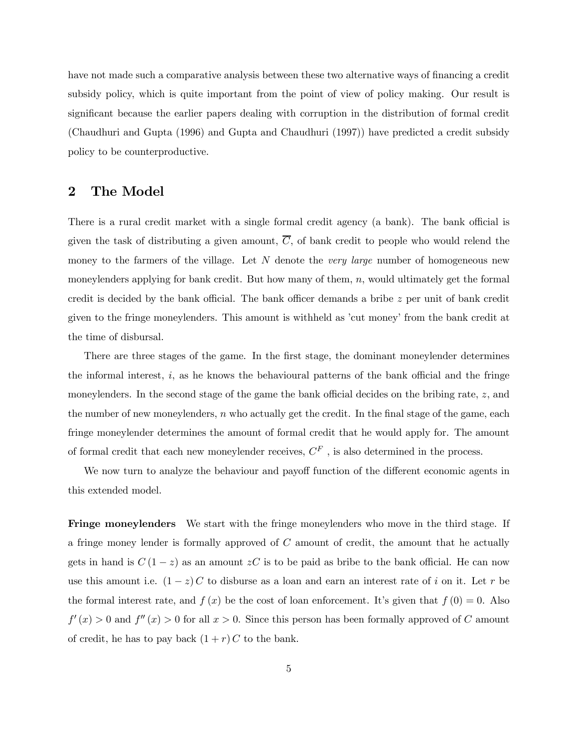have not made such a comparative analysis between these two alternative ways of financing a credit subsidy policy, which is quite important from the point of view of policy making. Our result is significant because the earlier papers dealing with corruption in the distribution of formal credit (Chaudhuri and Gupta (1996) and Gupta and Chaudhuri (1997)) have predicted a credit subsidy policy to be counterproductive.

## 2 The Model

There is a rural credit market with a single formal credit agency (a bank). The bank official is given the task of distributing a given amount,  $\overline{C}$ , of bank credit to people who would relend the money to the farmers of the village. Let  $N$  denote the *very large* number of homogeneous new moneylenders applying for bank credit. But how many of them, n, would ultimately get the formal credit is decided by the bank official. The bank officer demands a bribe z per unit of bank credit given to the fringe moneylenders. This amount is withheld as 'cut money' from the bank credit at the time of disbursal.

There are three stages of the game. In the first stage, the dominant moneylender determines the informal interest,  $i$ , as he knows the behavioural patterns of the bank official and the fringe moneylenders. In the second stage of the game the bank official decides on the bribing rate, z, and the number of new moneylenders,  $n$  who actually get the credit. In the final stage of the game, each fringe moneylender determines the amount of formal credit that he would apply for. The amount of formal credit that each new moneylender receives,  $C^F$ , is also determined in the process.

We now turn to analyze the behaviour and payoff function of the different economic agents in this extended model.

Fringe moneylenders We start with the fringe moneylenders who move in the third stage. If a fringe money lender is formally approved of  $C$  amount of credit, the amount that he actually gets in hand is  $C(1-z)$  as an amount  $zC$  is to be paid as bribe to the bank official. He can now use this amount i.e.  $(1-z)C$  to disburse as a loan and earn an interest rate of i on it. Let r be the formal interest rate, and  $f(x)$  be the cost of loan enforcement. It's given that  $f(0) = 0$ . Also  $f'(x) > 0$  and  $f''(x) > 0$  for all  $x > 0$ . Since this person has been formally approved of C amount of credit, he has to pay back  $(1 + r) C$  to the bank.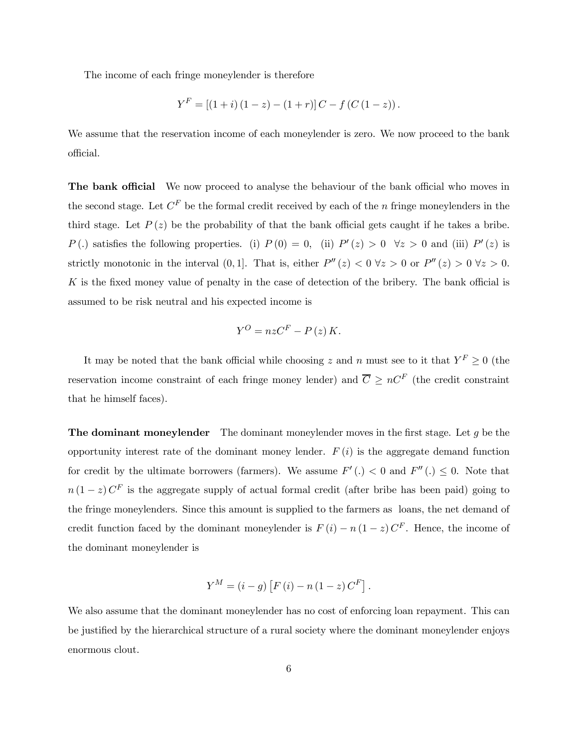The income of each fringe moneylender is therefore

$$
Y^{F} = [(1 + i) (1 - z) - (1 + r)] C - f (C (1 - z)).
$$

We assume that the reservation income of each moneylender is zero. We now proceed to the bank official.

The bank official We now proceed to analyse the behaviour of the bank official who moves in the second stage. Let  $C^F$  be the formal credit received by each of the n fringe moneylenders in the third stage. Let  $P(z)$  be the probability of that the bank official gets caught if he takes a bribe. P(.) satisfies the following properties. (i)  $P(0) = 0$ , (ii)  $P'(z) > 0 \quad \forall z > 0$  and (iii)  $P'(z)$  is strictly monotonic in the interval  $(0, 1]$ . That is, either  $P''(z) < 0 \forall z > 0$  or  $P''(z) > 0 \forall z > 0$ . K is the fixed money value of penalty in the case of detection of the bribery. The bank official is assumed to be risk neutral and his expected income is

$$
Y^{O} = nzC^{F} - P(z)K.
$$

It may be noted that the bank official while choosing z and n must see to it that  $Y^F \geq 0$  (the reservation income constraint of each fringe money lender) and  $\overline{C} \geq nC^F$  (the credit constraint that he himself faces).

**The dominant moneylender** The dominant moneylender moves in the first stage. Let q be the opportunity interest rate of the dominant money lender.  $F(i)$  is the aggregate demand function for credit by the ultimate borrowers (farmers). We assume  $F'(.) < 0$  and  $F''(.) \leq 0$ . Note that  $n(1-z)C<sup>F</sup>$  is the aggregate supply of actual formal credit (after bribe has been paid) going to the fringe moneylenders. Since this amount is supplied to the farmers as loans, the net demand of credit function faced by the dominant moneylender is  $F(i) - n(1-z)C<sup>F</sup>$ . Hence, the income of the dominant moneylender is

$$
Y^{M} = (i - g) [F (i) - n (1 - z) C^{F}].
$$

We also assume that the dominant moneylender has no cost of enforcing loan repayment. This can be justified by the hierarchical structure of a rural society where the dominant moneylender enjoys enormous clout.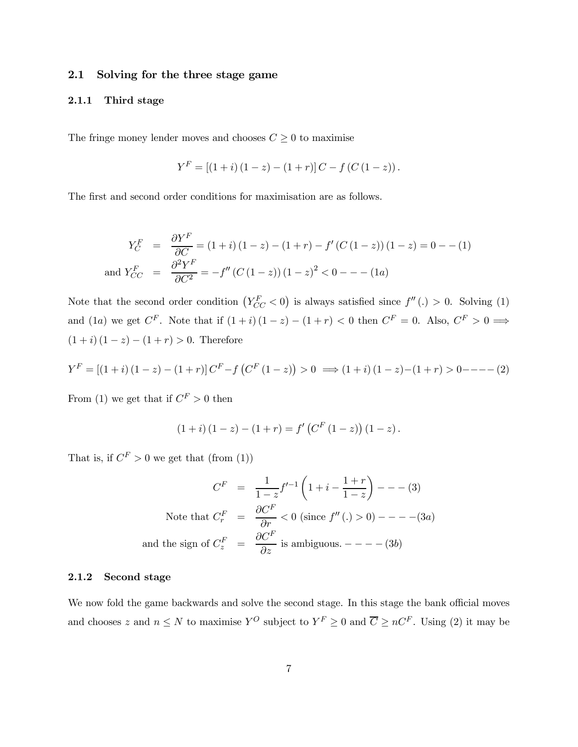### 2.1 Solving for the three stage game

#### 2.1.1 Third stage

The fringe money lender moves and chooses  $C \geq 0$  to maximise

$$
Y^{F} = [(1+i)(1-z) - (1+r)]C - f(C(1-z)).
$$

The first and second order conditions for maximisation are as follows.

$$
Y_C^F = \frac{\partial Y^F}{\partial C} = (1+i)(1-z) - (1+r) - f'(C(1-z))(1-z) = 0 - (1)
$$
  
and 
$$
Y_{CC}^F = \frac{\partial^2 Y^F}{\partial C^2} = -f''(C(1-z))(1-z)^2 < 0 - -(1a)
$$

Note that the second order condition  $(Y_{CC}^F < 0)$  is always satisfied since  $f''(.) > 0$ . Solving (1) and (1*a*) we get  $C^F$ . Note that if  $(1+i)(1-z) - (1+r) < 0$  then  $C^F = 0$ . Also,  $C^F > 0 \Longrightarrow$  $(1 + i) (1 - z) - (1 + r) > 0$ . Therefore

$$
Y^F = [(1+i)(1-z) - (1+r)]C^F - f(C^F(1-z)) > 0 \implies (1+i)(1-z) - (1+r) > 0---(2)
$$

From (1) we get that if  $C^F > 0$  then

$$
(1 + i) (1 - z) – (1 + r) = f' (CF (1 - z)) (1 - z).
$$

That is, if  $C^F > 0$  we get that (from (1))

$$
C^{F} = \frac{1}{1-z} f'^{-1} \left( 1 + i - \frac{1+r}{1-z} \right) - - - (3)
$$
  
Note that  $C_{r}^{F} = \frac{\partial C^{F}}{\partial r} < 0$  (since  $f''(.) > 0$ ) - - - - (3*a*)  
and the sign of  $C_{z}^{F} = \frac{\partial C^{F}}{\partial z}$  is ambiguous. - - - - (3*b*)

#### 2.1.2 Second stage

We now fold the game backwards and solve the second stage. In this stage the bank official moves and chooses z and  $n \leq N$  to maximise  $Y^O$  subject to  $Y^F \geq 0$  and  $\overline{C} \geq nC^F$ . Using (2) it may be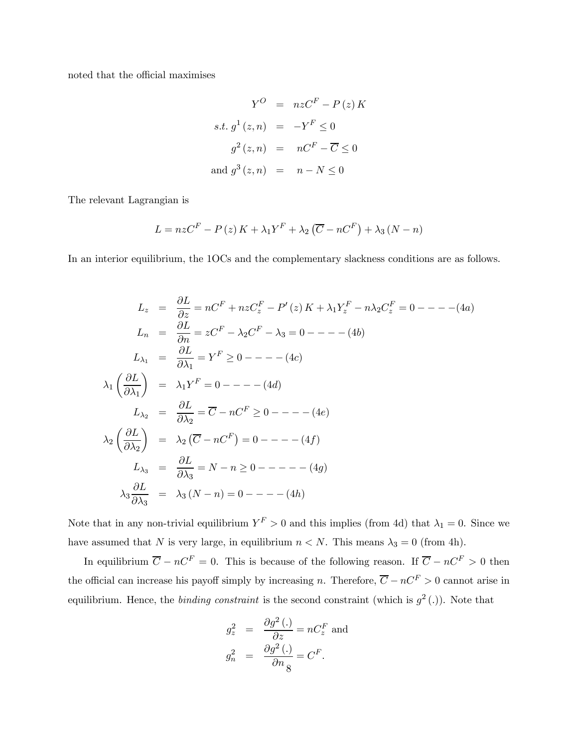noted that the official maximises

$$
Y^{O} = nzC^{F} - P(z)K
$$
  
s.t.  $g^{1}(z, n) = -Y^{F} \le 0$   

$$
g^{2}(z, n) = nC^{F} - \overline{C} \le 0
$$
  
and  $g^{3}(z, n) = n - N \le 0$ 

The relevant Lagrangian is

$$
L = nzC^{F} - P(z) K + \lambda_1 Y^{F} + \lambda_2 (\overline{C} - nC^{F}) + \lambda_3 (N - n)
$$

In an interior equilibrium, the 1OCs and the complementary slackness conditions are as follows.

$$
L_z = \frac{\partial L}{\partial z} = nC^F + nzC_z^F - P'(z)K + \lambda_1 Y_z^F - n\lambda_2 C_z^F = 0 - - - - (4a)
$$
  
\n
$$
L_n = \frac{\partial L}{\partial n} = zC^F - \lambda_2 C^F - \lambda_3 = 0 - - - - (4b)
$$
  
\n
$$
L_{\lambda_1} = \frac{\partial L}{\partial \lambda_1} = Y^F \ge 0 - - - - (4c)
$$
  
\n
$$
\lambda_1 \left(\frac{\partial L}{\partial \lambda_1}\right) = \lambda_1 Y^F = 0 - - - - (4d)
$$
  
\n
$$
L_{\lambda_2} = \frac{\partial L}{\partial \lambda_2} = \overline{C} - nC^F \ge 0 - - - - (4e)
$$
  
\n
$$
\lambda_2 \left(\frac{\partial L}{\partial \lambda_2}\right) = \lambda_2 (\overline{C} - nC^F) = 0 - - - - (4f)
$$
  
\n
$$
L_{\lambda_3} = \frac{\partial L}{\partial \lambda_3} = N - n \ge 0 - - - - - (4g)
$$
  
\n
$$
\lambda_3 \frac{\partial L}{\partial \lambda_3} = \lambda_3 (N - n) = 0 - - - - (4h)
$$

Note that in any non-trivial equilibrium  $Y^F > 0$  and this implies (from 4d) that  $\lambda_1 = 0$ . Since we have assumed that N is very large, in equilibrium  $n < N$ . This means  $\lambda_3 = 0$  (from 4h).

In equilibrium  $\overline{C} - nC^F = 0$ . This is because of the following reason. If  $\overline{C} - nC^F > 0$  then the official can increase his payoff simply by increasing n. Therefore,  $\overline{C} - nC^F > 0$  cannot arise in equilibrium. Hence, the *binding constraint* is the second constraint (which is  $g^2$  (.)). Note that

$$
g_z^2 = \frac{\partial g^2(.)}{\partial z} = nC_z^F \text{ and}
$$
  

$$
g_n^2 = \frac{\partial g^2(.)}{\partial n_g} = C^F.
$$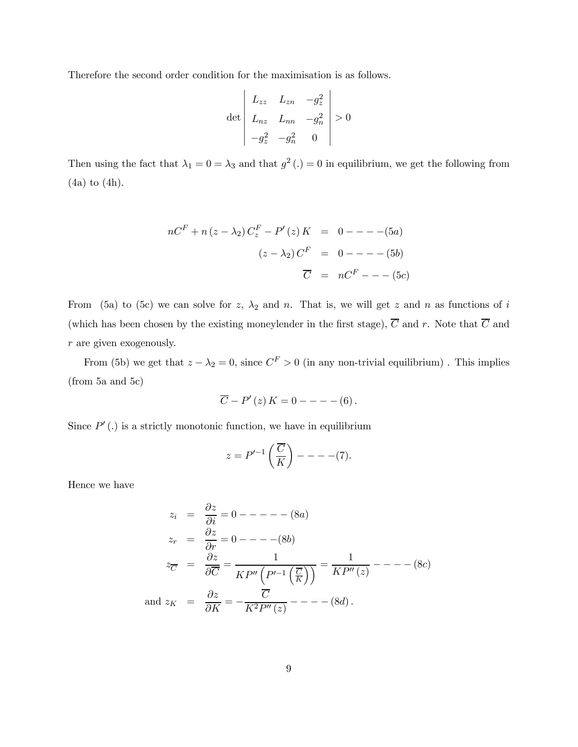Therefore the second order condition for the maximisation is as follows.

$$
\det \begin{vmatrix} L_{zz} & L_{zn} & -g_z^2 \\ L_{nz} & L_{nn} & -g_n^2 \\ -g_z^2 & -g_n^2 & 0 \end{vmatrix} > 0
$$

Then using the fact that  $\lambda_1 = 0 = \lambda_3$  and that  $g^2(.) = 0$  in equilibrium, we get the following from (4a) to (4h).

$$
nC^{F} + n(z - \lambda_{2}) C_{z}^{F} - P'(z) K = 0 - - - - (5a)
$$
  

$$
(z - \lambda_{2}) C^{F} = 0 - - - - (5b)
$$
  

$$
\overline{C} = nC^{F} - - - (5c)
$$

From (5a) to (5c) we can solve for z,  $\lambda_2$  and n. That is, we will get z and n as functions of i (which has been chosen by the existing moneylender in the first stage),  $\overline{C}$  and r. Note that  $\overline{C}$  and r are given exogenously.

From (5b) we get that  $z - \lambda_2 = 0$ , since  $C^F > 0$  (in any non-trivial equilibrium). This implies (from 5a and 5c)

$$
\overline{C}-P'(z) K=0---(6).
$$

Since  $P'$  (.) is a strictly monotonic function, we have in equilibrium

$$
z = P'^{-1}\left(\frac{\overline{C}}{K}\right) - - - -(-7).
$$

Hence we have

$$
z_i = \frac{\partial z}{\partial i} = 0 - - - - - (8a)
$$
  
\n
$$
z_r = \frac{\partial z}{\partial r} = 0 - - - - (8b)
$$
  
\n
$$
z_{\overline{C}} = \frac{\partial z}{\partial \overline{C}} = \frac{1}{KP''\left(P'^{-1}\left(\frac{\overline{C}}{K}\right)\right)} = \frac{1}{KP''(z)} - - - - (8c)
$$
  
\nand  $z_K = \frac{\partial z}{\partial K} = -\frac{\overline{C}}{K^2P''(z)} - - - - (8d)$ .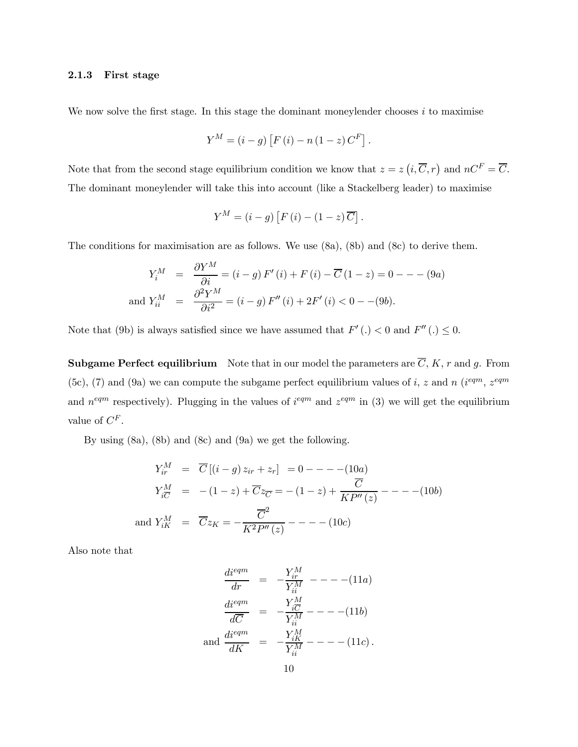#### 2.1.3 First stage

We now solve the first stage. In this stage the dominant moneylender chooses  $i$  to maximise

$$
Y^{M} = (i - g) [F (i) - n (1 - z) C^{F}].
$$

Note that from the second stage equilibrium condition we know that  $z = z(i, \overline{C}, r)$  and  $nC^F = \overline{C}$ . The dominant moneylender will take this into account (like a Stackelberg leader) to maximise

$$
Y^{M} = (i - g) [F(i) - (1 - z) \overline{C}].
$$

The conditions for maximisation are as follows. We use (8a), (8b) and (8c) to derive them.

$$
Y_i^M = \frac{\partial Y^M}{\partial i} = (i - g) F'(i) + F(i) - \overline{C}(1 - z) = 0 - - - (9a)
$$
  
and 
$$
Y_{ii}^M = \frac{\partial^2 Y^M}{\partial i^2} = (i - g) F''(i) + 2F'(i) < 0 - -(9b).
$$

Note that (9b) is always satisfied since we have assumed that  $F'(.) < 0$  and  $F''(.) \leq 0$ .

**Subgame Perfect equilibrium** Note that in our model the parameters are  $\overline{C}$ , K, r and g. From (5c), (7) and (9a) we can compute the subgame perfect equilibrium values of i, z and n ( $i^{eqm}$ ,  $z^{eqm}$ and  $n^{eqm}$  respectively). Plugging in the values of  $i^{eqm}$  and  $z^{eqm}$  in (3) we will get the equilibrium value of  $C^F$ .

By using (8a), (8b) and (8c) and (9a) we get the following.

$$
Y_{ir}^{M} = \overline{C} [(i - g) z_{ir} + z_{r}] = 0 - - - - (10a)
$$
  
\n
$$
Y_{i\overline{C}}^{M} = -(1 - z) + \overline{C} z_{\overline{C}} = -(1 - z) + \frac{\overline{C}}{KP''(z)} - - - - (10b)
$$
  
\nand 
$$
Y_{iK}^{M} = \overline{C} z_{K} = -\frac{\overline{C}^{2}}{K^{2}P''(z)} - - - - (10c)
$$

Also note that

$$
\frac{di^{eqm}}{dr} = -\frac{Y_{ir}^M}{Y_{ii}^M} - - - - (11a)
$$
\n
$$
\frac{di^{eqm}}{d\overline{C}} = -\frac{Y_{i\overline{C}}^M}{Y_{ii}^M} - - - - (11b)
$$
\nand 
$$
\frac{di^{eqm}}{dK} = -\frac{Y_{iK}^M}{Y_{ii}^M} - - - - (11c)
$$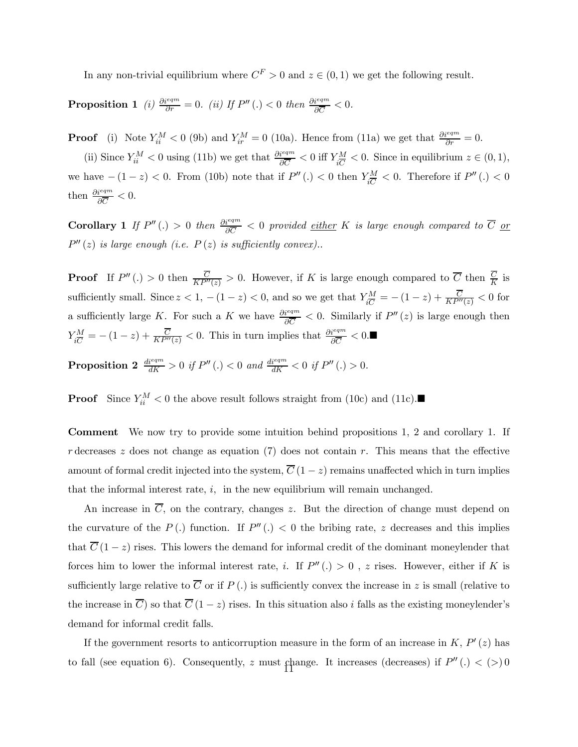In any non-trivial equilibrium where  $C^F > 0$  and  $z \in (0,1)$  we get the following result.

**Proposition 1** (i)  $\frac{\partial i^{eqm}}{\partial r} = 0$ . (ii) If  $P''(.) < 0$  then  $\frac{\partial i^{eqm}}{\partial \overline{C}} < 0$ .

**Proof** (i) Note  $Y_{ii}^M < 0$  (9b) and  $Y_{ir}^M = 0$  (10a). Hence from (11a) we get that  $\frac{\partial i^{eqm}}{\partial r} = 0$ .

(ii) Since  $Y_{ii}^M < 0$  using (11b) we get that  $\frac{\partial i^{eqm}}{\partial \overline{C}} < 0$  iff  $Y_{i\overline{C}}^M < 0$ . Since in equilibrium  $z \in (0,1)$ , we have  $-(1-z) < 0$ . From (10b) note that if  $P''(.) < 0$  then  $Y_{i\overline{C}}^M < 0$ . Therefore if  $P''(.) < 0$ then  $\frac{\partial i^{eqm}}{\partial \overline{C}} < 0$ .

**Corollary 1** If  $P''(.) > 0$  then  $\frac{\partial i^{eqm}}{\partial \overline{C}} < 0$  provided <u>either</u> K is large enough compared to  $\overline{C}$  <u>or</u>  $P''(z)$  is large enough (i.e.  $P(z)$  is sufficiently convex)..

**Proof** If  $P''(.) > 0$  then  $\frac{\overline{C}}{KP''(z)} > 0$ . However, if K is large enough compared to  $\overline{C}$  then  $\frac{\overline{C}}{K}$  is sufficiently small. Since  $z < 1$ ,  $-(1-z) < 0$ , and so we get that  $Y_{i\overline{C}}^M = -(1-z) + \frac{C}{KP''(z)} < 0$  for a sufficiently large K. For such a K we have  $\frac{\partial i^{eqm}}{\partial \overline{C}} < 0$ . Similarly if  $P''(z)$  is large enough then  $Y_{i\overline{C}}^{M} = -(1-z) + \frac{\overline{C}}{KP''(z)} < 0.$  This in turn implies that  $\frac{\partial i^{eqm}}{\partial \overline{C}} < 0.$ 

**Proposition 2**  $\frac{d i^{eqm}}{d K} > 0$  if  $P''(.) < 0$  and  $\frac{d i^{eqm}}{d K} < 0$  if  $P''(.) > 0$ .

**Proof** Since  $Y_{ii}^M < 0$  the above result follows straight from (10c) and (11c).

Comment We now try to provide some intuition behind propositions 1, 2 and corollary 1. If  $r$  decreases z does not change as equation (7) does not contain r. This means that the effective amount of formal credit injected into the system,  $\overline{C}(1-z)$  remains unaffected which in turn implies that the informal interest rate,  $i$ , in the new equilibrium will remain unchanged.

An increase in  $\overline{C}$ , on the contrary, changes z. But the direction of change must depend on the curvature of the  $P(.)$  function. If  $P''(.) < 0$  the bribing rate, z decreases and this implies that  $\overline{C}(1-z)$  rises. This lowers the demand for informal credit of the dominant moneylender that forces him to lower the informal interest rate, *i*. If  $P''(.) > 0$ , *z* rises. However, either if K is sufficiently large relative to  $\overline{C}$  or if  $P(.)$  is sufficiently convex the increase in z is small (relative to the increase in  $\overline{C}$ ) so that  $\overline{C}(1-z)$  rises. In this situation also i falls as the existing moneylender's demand for informal credit falls.

If the government resorts to anticorruption measure in the form of an increase in K,  $P'(z)$  has to fall (see equation 6). Consequently, z must change. It increases (decreases) if  $P''(.) < (>)0$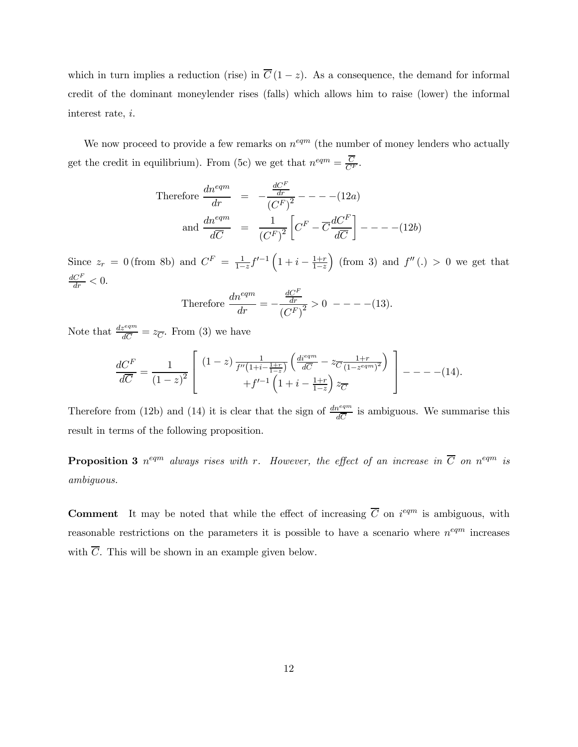which in turn implies a reduction (rise) in  $\overline{C}(1-z)$ . As a consequence, the demand for informal credit of the dominant moneylender rises (falls) which allows him to raise (lower) the informal interest rate, i.

We now proceed to provide a few remarks on  $n^{eqm}$  (the number of money lenders who actually get the credit in equilibrium). From (5c) we get that  $n^{eqm} = \frac{C}{C^F}$ .

Therefore 
$$
\frac{dn^{eqm}}{dr} = -\frac{\frac{dC^F}{dr}}{(C^F)^2} - - - - (12a)
$$
  
and  $\frac{dn^{eqm}}{d\overline{C}} = \frac{1}{(C^F)^2} \left[ C^F - \overline{C} \frac{dC^F}{d\overline{C}} \right] - - - - (12b)$ 

Since  $z_r = 0$  (from 8b) and  $C^F = \frac{1}{1-r}$  $\frac{1}{1-z}f'^{-1}\left(1+i-\frac{1+r}{1-z}\right)$  $1-z$ (from 3) and  $f''(.) > 0$  we get that  $\frac{dC^F}{dr}<0.$ 

Therefore 
$$
\frac{dn^{eqm}}{dr} = -\frac{\frac{dC^F}{dr}}{(C^F)^2} > 0 \ \ - - - - (13).
$$

Note that  $\frac{d z^{eqm}}{d \overline{C}} = z_{\overline{C}}$ . From (3) we have

$$
\frac{dC^F}{d\overline{C}} = \frac{1}{(1-z)^2} \left[ \begin{array}{c} (1-z) \frac{1}{f''(1+i-\frac{1+r}{1-z})} \left( \frac{di^{eqm}}{d\overline{C}} - z_{\overline{C}} \frac{1+r}{(1-z^{eqm})^2} \right) \\ + f'^{-1} \left( 1+i - \frac{1+r}{1-z} \right) z_{\overline{C}} \end{array} \right] - - - - (14).
$$

Therefore from (12b) and (14) it is clear that the sign of  $\frac{dn^{eqm}}{d\overline{C}}$  is ambiguous. We summarise this result in terms of the following proposition.

**Proposition 3**  $n^{eqm}$  always rises with r. However, the effect of an increase in  $\overline{C}$  on  $n^{eqm}$  is ambiguous.

**Comment** It may be noted that while the effect of increasing  $\overline{C}$  on  $i^{eqm}$  is ambiguous, with reasonable restrictions on the parameters it is possible to have a scenario where  $n^{eqm}$  increases with  $\overline{C}$ . This will be shown in an example given below.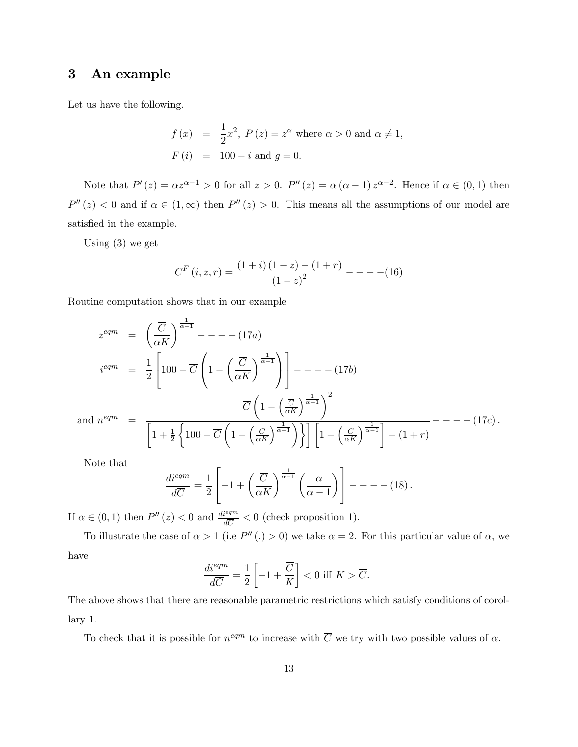## 3 An example

Let us have the following.

$$
f(x) = \frac{1}{2}x^2, P(z) = z^{\alpha} \text{ where } \alpha > 0 \text{ and } \alpha \neq 1,
$$
  

$$
F(i) = 100 - i \text{ and } g = 0.
$$

Note that  $P'(z) = \alpha z^{\alpha-1} > 0$  for all  $z > 0$ .  $P''(z) = \alpha (\alpha - 1) z^{\alpha-2}$ . Hence if  $\alpha \in (0, 1)$  then  $P''(z) < 0$  and if  $\alpha \in (1, \infty)$  then  $P''(z) > 0$ . This means all the assumptions of our model are satisfied in the example.

Using (3) we get

$$
C^{F}(i, z, r) = \frac{(1+i)(1-z) - (1+r)}{(1-z)^{2}} - \dots - (16)
$$

Routine computation shows that in our example

$$
z^{eqm} = \left(\frac{\overline{C}}{\alpha K}\right)^{\frac{1}{\alpha - 1}} - - - - (17a)
$$
  
\n
$$
i^{eqm} = \frac{1}{2} \left[100 - \overline{C} \left(1 - \left(\frac{\overline{C}}{\alpha K}\right)^{\frac{1}{\alpha - 1}}\right)\right] - - - - (17b)
$$
  
\nand  $n^{eqm} = \frac{\overline{C} \left(1 - \left(\frac{\overline{C}}{\alpha K}\right)^{\frac{1}{\alpha - 1}}\right)^2}{\left[1 + \frac{1}{2} \left\{100 - \overline{C} \left(1 - \left(\frac{\overline{C}}{\alpha K}\right)^{\frac{1}{\alpha - 1}}\right)\right\}\right] \left[1 - \left(\frac{\overline{C}}{\alpha K}\right)^{\frac{1}{\alpha - 1}}\right] - (1 + r)} - - - - (17c).$ 

Note that

$$
\frac{d i^{eqm}}{d \overline{C}} = \frac{1}{2} \left[ -1 + \left( \frac{\overline{C}}{\alpha K} \right)^{\frac{1}{\alpha - 1}} \left( \frac{\alpha}{\alpha - 1} \right) \right] - \dots - (18).
$$

If  $\alpha \in (0, 1)$  then  $P''(z) < 0$  and  $\frac{d i^{eqm}}{d\overline{C}} < 0$  (check proposition 1).

To illustrate the case of  $\alpha > 1$  (i.e  $P''(.) > 0$ ) we take  $\alpha = 2$ . For this particular value of  $\alpha$ , we have

$$
\frac{di^{eqm}}{d\overline{C}} = \frac{1}{2} \left[ -1 + \frac{\overline{C}}{K} \right] < 0 \text{ iff } K > \overline{C}.
$$

The above shows that there are reasonable parametric restrictions which satisfy conditions of corollary 1.

To check that it is possible for  $n^{eqm}$  to increase with  $\overline{C}$  we try with two possible values of  $\alpha$ .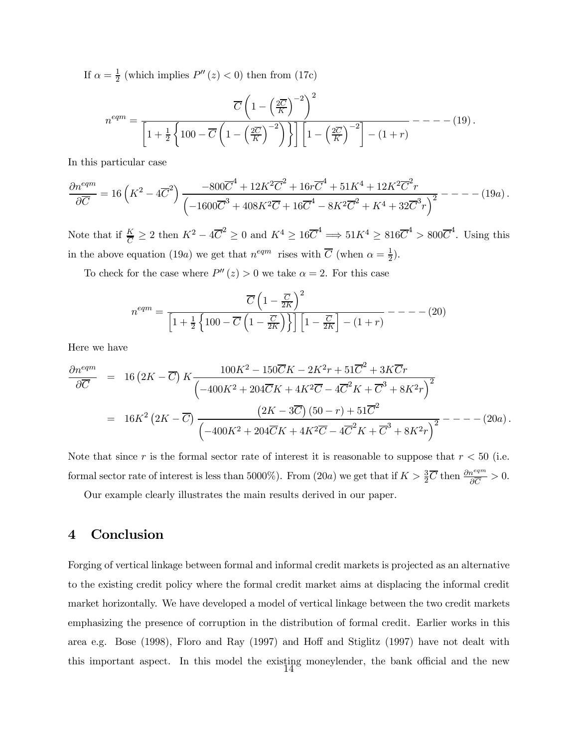If  $\alpha = \frac{1}{2}$  $\frac{1}{2}$  (which implies  $P''(z) < 0$ ) then from (17c)

$$
n^{eqm} = \frac{\overline{C}\left(1 - \left(\frac{2\overline{C}}{K}\right)^{-2}\right)^2}{\left[1 + \frac{1}{2}\left\{100 - \overline{C}\left(1 - \left(\frac{2\overline{C}}{K}\right)^{-2}\right)\right\}\right] \left[1 - \left(\frac{2\overline{C}}{K}\right)^{-2}\right] - (1+r)} - \dots - (19).
$$

In this particular case

$$
\frac{\partial n^{eqm}}{\partial \overline{C}} = 16\left(K^2 - 4\overline{C}^2\right) \frac{-800\overline{C}^4 + 12K^2\overline{C}^2 + 16r\overline{C}^4 + 51K^4 + 12K^2\overline{C}^2r}{\left(-1600\overline{C}^3 + 408K^2\overline{C} + 16\overline{C}^4 - 8K^2\overline{C}^2 + K^4 + 32\overline{C}^3r\right)^2} - - - - (19a).
$$

Note that if  $\frac{K}{\overline{C}} \ge 2$  then  $K^2 - 4\overline{C}^2 \ge 0$  and  $K^4 \ge 16\overline{C}^4 \implies 51K^4 \ge 816\overline{C}^4 > 800\overline{C}^4$ . Using this in the above equation (19a) we get that  $n^{eqm}$  rises with  $\overline{C}$  (when  $\alpha = \frac{1}{2}$  $(\frac{1}{2})$ .

To check for the case where  $P''(z) > 0$  we take  $\alpha = 2$ . For this case

$$
n^{eqm} = \frac{\overline{C}\left(1 - \frac{\overline{C}}{2K}\right)^2}{\left[1 + \frac{1}{2}\left\{100 - \overline{C}\left(1 - \frac{\overline{C}}{2K}\right)\right\}\right]\left[1 - \frac{\overline{C}}{2K}\right] - (1+r)} - \dots - (20)
$$

Here we have

$$
\frac{\partial n^{eqm}}{\partial \overline{C}} = 16\left(2K - \overline{C}\right)K \frac{100K^2 - 150\overline{C}K - 2K^2r + 51\overline{C}^2 + 3K\overline{C}r}{\left(-400K^2 + 204\overline{C}K + 4K^2\overline{C} - 4\overline{C}^2K + \overline{C}^3 + 8K^2r\right)^2}
$$
\n
$$
= 16K^2\left(2K - \overline{C}\right) \frac{\left(2K - 3\overline{C}\right)\left(50 - r\right) + 51\overline{C}^2}{\left(-400K^2 + 204\overline{C}K + 4K^2\overline{C} - 4\overline{C}^2K + \overline{C}^3 + 8K^2r\right)^2} - - - - (20a).
$$

Note that since r is the formal sector rate of interest it is reasonable to suppose that  $r < 50$  (i.e. formal sector rate of interest is less than 5000%). From  $(20a)$  we get that if  $K > \frac{3}{2}\overline{C}$  then  $\frac{\partial n^{eqm}}{\partial \overline{C}} > 0$ .

Our example clearly illustrates the main results derived in our paper.

## 4 Conclusion

Forging of vertical linkage between formal and informal credit markets is projected as an alternative to the existing credit policy where the formal credit market aims at displacing the informal credit market horizontally. We have developed a model of vertical linkage between the two credit markets emphasizing the presence of corruption in the distribution of formal credit. Earlier works in this area e.g. Bose (1998), Floro and Ray (1997) and Hoff and Stiglitz (1997) have not dealt with this important aspect. In this model the existing moneylender, the bank official and the new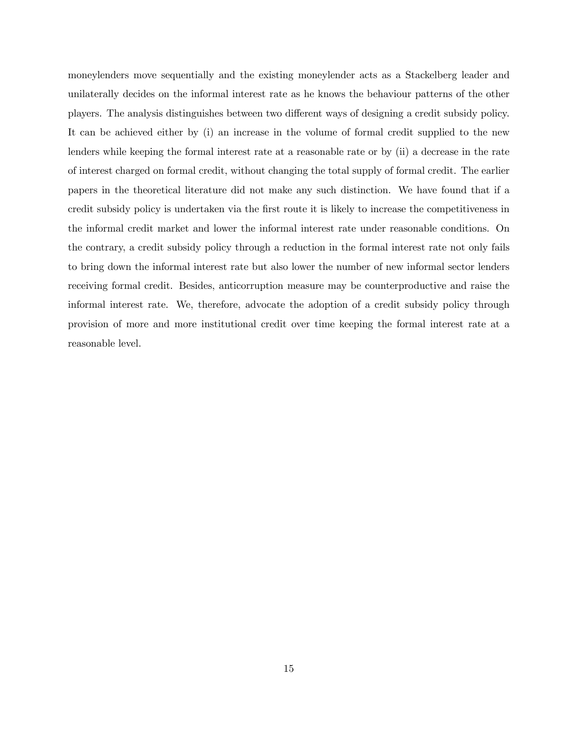moneylenders move sequentially and the existing moneylender acts as a Stackelberg leader and unilaterally decides on the informal interest rate as he knows the behaviour patterns of the other players. The analysis distinguishes between two different ways of designing a credit subsidy policy. It can be achieved either by (i) an increase in the volume of formal credit supplied to the new lenders while keeping the formal interest rate at a reasonable rate or by (ii) a decrease in the rate of interest charged on formal credit, without changing the total supply of formal credit. The earlier papers in the theoretical literature did not make any such distinction. We have found that if a credit subsidy policy is undertaken via the first route it is likely to increase the competitiveness in the informal credit market and lower the informal interest rate under reasonable conditions. On the contrary, a credit subsidy policy through a reduction in the formal interest rate not only fails to bring down the informal interest rate but also lower the number of new informal sector lenders receiving formal credit. Besides, anticorruption measure may be counterproductive and raise the informal interest rate. We, therefore, advocate the adoption of a credit subsidy policy through provision of more and more institutional credit over time keeping the formal interest rate at a reasonable level.